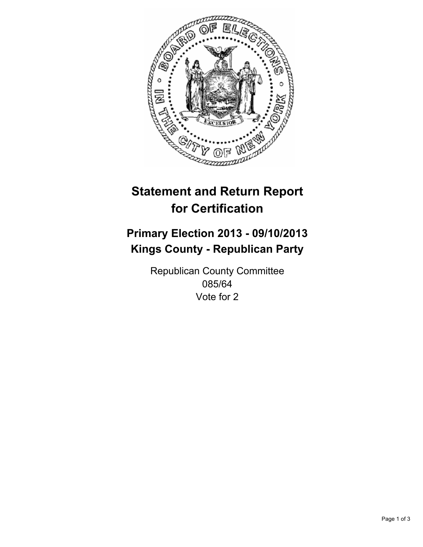

# **Statement and Return Report for Certification**

# **Primary Election 2013 - 09/10/2013 Kings County - Republican Party**

Republican County Committee 085/64 Vote for 2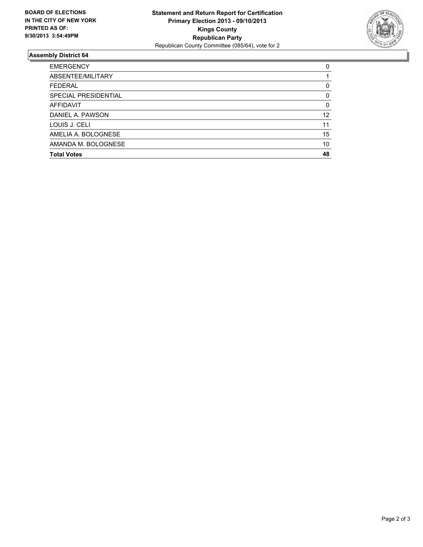

## **Assembly District 64**

| <b>EMERGENCY</b>     | 0        |
|----------------------|----------|
| ABSENTEE/MILITARY    |          |
| <b>FEDERAL</b>       | 0        |
| SPECIAL PRESIDENTIAL | 0        |
| <b>AFFIDAVIT</b>     | $\Omega$ |
| DANIEL A. PAWSON     | 12       |
| LOUIS J. CELI        | 11       |
| AMELIA A. BOLOGNESE  | 15       |
| AMANDA M. BOLOGNESE  | 10       |
| <b>Total Votes</b>   | 48       |
|                      |          |